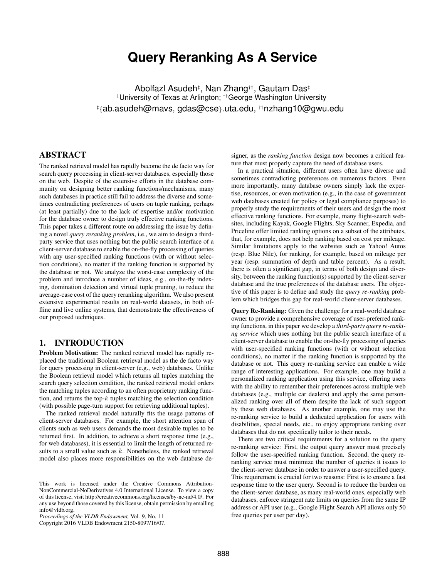# **Query Reranking As A Service**

Abolfazl Asudeh‡ , Nan Zhang††, Gautam Das‡ ‡University of Texas at Arlington; ††George Washington University ‡ {ab.asudeh@mavs, gdas@cse}.uta.edu, ††nzhang10@gwu.edu

# ABSTRACT

The ranked retrieval model has rapidly become the de facto way for search query processing in client-server databases, especially those on the web. Despite of the extensive efforts in the database community on designing better ranking functions/mechanisms, many such databases in practice still fail to address the diverse and sometimes contradicting preferences of users on tuple ranking, perhaps (at least partially) due to the lack of expertise and/or motivation for the database owner to design truly effective ranking functions. This paper takes a different route on addressing the issue by defining a novel *query reranking problem*, i.e., we aim to design a thirdparty service that uses nothing but the public search interface of a client-server database to enable the on-the-fly processing of queries with any user-specified ranking functions (with or without selection conditions), no matter if the ranking function is supported by the database or not. We analyze the worst-case complexity of the problem and introduce a number of ideas, e.g., on-the-fly indexing, domination detection and virtual tuple pruning, to reduce the average-case cost of the query reranking algorithm. We also present extensive experimental results on real-world datasets, in both offline and live online systems, that demonstrate the effectiveness of our proposed techniques.

# 1. INTRODUCTION

Problem Motivation: The ranked retrieval model has rapidly replaced the traditional Boolean retrieval model as the de facto way for query processing in client-server (e.g., web) databases. Unlike the Boolean retrieval model which returns all tuples matching the search query selection condition, the ranked retrieval model orders the matching tuples according to an often proprietary ranking function, and returns the top- $k$  tuples matching the selection condition (with possible page-turn support for retrieving additional tuples).

The ranked retrieval model naturally fits the usage patterns of client-server databases. For example, the short attention span of clients such as web users demands the most desirable tuples to be returned first. In addition, to achieve a short response time (e.g., for web databases), it is essential to limit the length of returned results to a small value such as  $k$ . Nonetheless, the ranked retrieval model also places more responsibilities on the web database de-

Copyright 2016 VLDB Endowment 2150-8097/16/07.

signer, as the *ranking function* design now becomes a critical feature that must properly capture the need of database users.

In a practical situation, different users often have diverse and sometimes contradicting preferences on numerous factors. Even more importantly, many database owners simply lack the expertise, resources, or even motivation (e.g., in the case of government web databases created for policy or legal compliance purposes) to properly study the requirements of their users and design the most effective ranking functions. For example, many flight-search websites, including Kayak, Google Flights, Sky Scanner, Expedia, and Priceline offer limited ranking options on a subset of the attributes, that, for example, does not help ranking based on cost per mileage. Similar limitations apply to the websites such as Yahoo! Autos (resp. Blue Nile), for ranking, for example, based on mileage per year (resp. summation of depth and table percent). As a result, there is often a significant gap, in terms of both design and diversity, between the ranking function(s) supported by the client-server database and the true preferences of the database users. The objective of this paper is to define and study the *query re-ranking* problem which bridges this gap for real-world client-server databases.

Query Re-Ranking: Given the challenge for a real-world database owner to provide a comprehensive coverage of user-preferred ranking functions, in this paper we develop a *third-party query re-ranking service* which uses nothing but the public search interface of a client-server database to enable the on-the-fly processing of queries with user-specified ranking functions (with or without selection conditions), no matter if the ranking function is supported by the database or not. This query re-ranking service can enable a wide range of interesting applications. For example, one may build a personalized ranking application using this service, offering users with the ability to remember their preferences across multiple web databases (e.g., multiple car dealers) and apply the same personalized ranking over all of them despite the lack of such support by these web databases. As another example, one may use the re-ranking service to build a dedicated application for users with disabilities, special needs, etc., to enjoy appropriate ranking over databases that do not specifically tailor to their needs.

There are two critical requirements for a solution to the query re-ranking service: First, the output query answer must precisely follow the user-specified ranking function. Second, the query reranking service must minimize the number of queries it issues to the client-server database in order to answer a user-specified query. This requirement is crucial for two reasons: First is to ensure a fast response time to the user query. Second is to reduce the burden on the client-server database, as many real-world ones, especially web databases, enforce stringent rate limits on queries from the same IP address or API user (e.g., Google Flight Search API allows only 50 free queries per user per day).

This work is licensed under the Creative Commons Attribution-NonCommercial-NoDerivatives 4.0 International License. To view a copy of this license, visit http://creativecommons.org/licenses/by-nc-nd/4.0/. For any use beyond those covered by this license, obtain permission by emailing info@vldb.org.

*Proceedings of the VLDB Endowment,* Vol. 9, No. 11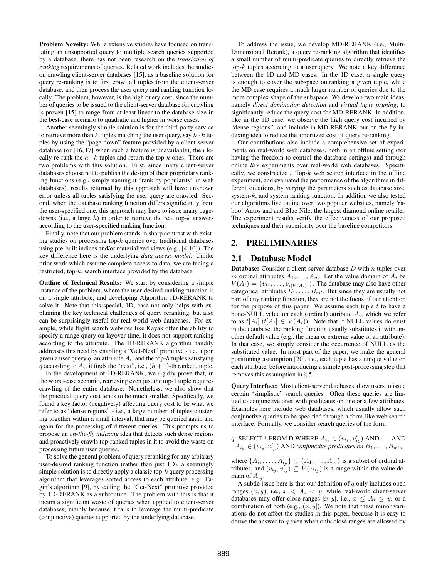Problem Novelty: While extensive studies have focused on translating an unsupported query to multiple search queries supported by a database, there has not been research on the *translation of ranking* requirements of queries. Related work includes the studies on crawling client-server databases [15], as a baseline solution for query re-ranking is to first crawl all tuples from the client-server database, and then process the user query and ranking function locally. The problem, however, is the high query cost, since the number of queries to be issued to the client-server database for crawling is proven [15] to range from at least linear to the database size in the best-case scenario to quadratic and higher in worse cases.

Another seemingly simple solution is for the third-party service to retrieve more than k tuples matching the user query, say  $h \cdot k$  tuples by using the "page-down" feature provided by a client-server database (or [16, 17] when such a feature is unavailable), then locally re-rank the  $h \cdot k$  tuples and return the top- $k$  ones. There are two problems with this solution. First, since many client-server databases choose not to publish the design of their proprietary ranking functions (e.g., simply naming it "rank by popularity" in web databases), results returned by this approach will have unknown error unless all tuples satisfying the user query are crawled. Second, when the database ranking function differs significantly from the user-specified one, this approach may have to issue many pagedowns (i.e., a large  $h$ ) in order to retrieve the real top- $k$  answers according to the user-specified ranking function.

Finally, note that our problem stands in sharp contrast with existing studies on processing top- $k$  queries over traditional databases using pre-built indices and/or materialized views (e.g., [4,10]). The key difference here is the underlying *data access model*: Unlike prior work which assume complete access to data, we are facing a restricted, top-k, search interface provided by the database.

Outline of Technical Results: We start by considering a simple instance of the problem, where the user-desired ranking function is on a single attribute, and developing Algorithm 1D-RERANK to solve it. Note that this special, 1D, case not only helps with explaining the key technical challenges of query reranking, but also can be surprisingly useful for real-world web databases. For example, while flight search websites like Kayak offer the ability to specify a range query on layover time, it does not support ranking according to the attribute. The 1D-RERANK algorithm handily addresses this need by enabling a "Get-Next" primitive - i.e., upon given a user query q, an attribute  $A_i$ , and the top-h tuples satisfying q according to  $A_i$ , it finds the "next", i.e.,  $(h + 1)$ -th ranked, tuple.

In the development of 1D-RERANK, we rigidly prove that, in the worst-case scenario, retrieving even just the top-1 tuple requires crawling of the entire database. Nonetheless, we also show that the practical query cost tends to be much smaller. Specifically, we found a key factor (negatively) affecting query cost to be what we refer to as "dense regions" - i.e., a large number of tuples clustering together within a small interval, that may be queried again and again for the processing of different queries. This prompts us to propose an *on-the-fly indexing* idea that detects such dense regions and proactively crawls top-ranked tuples in it to avoid the waste on processing future user queries.

To solve the general problem of query reranking for any arbitrary user-desired ranking function (rather than just 1D), a seemingly simple solution is to directly apply a classic top- $k$  query processing algorithm that leverages sorted access to each attribute, e.g., Fagin's algorithm [9], by calling the "Get-Next" primitive provided by 1D-RERANK as a subroutine. The problem with this is that it incurs a significant waste of queries when applied to client-server databases, mainly because it fails to leverage the multi-predicate (conjunctive) queries supported by the underlying database.

To address the issue, we develop MD-RERANK (i.e., Multi-Dimensional Rerank), a query re-ranking algorithm that identifies a small number of multi-predicate queries to directly retrieve the top- $k$  tuples according to a user query. We note a key difference between the 1D and MD cases: In the 1D case, a single query is enough to cover the subspace outranking a given tuple, while the MD case requires a much larger number of queries due to the more complex shape of the subspace. We develop two main ideas, namely *direct domination detection* and *virtual tuple pruning*, to significantly reduce the query cost for MD-RERANK. In addition, like in the 1D case, we observe the high query cost incurred by "dense regions", and include in MD-RERANK our on-the-fly indexing idea to reduce the amortized cost of query re-ranking.

Our contributions also include a comprehensive set of experiments on real-world web databases, both in an offline setting (for having the freedom to control the database settings) and through online *live* experiments over real-world web databases. Specifically, we constructed a Top- $k$  web search interface in the offline experiment, and evaluated the performance of the algorithms in different situations, by varying the parameters such as database size, system-k, and system ranking function. In addition we also tested our algorithms live online over two popular websites, namely Yahoo! Autos and and Blue Nile, the largest diamond online retailer. The experiment results verify the effectiveness of our proposed techniques and their superiority over the baseline competitors.

## 2. PRELIMINARIES

## 2.1 Database Model

**Database:** Consider a client-server database  $D$  with  $n$  tuples over m ordinal attributes  $A_1, \ldots, A_m$ . Let the value domain of  $A_i$  be  $V(A_i) = \{v_{i1}, \ldots, v_{i|V(A_i)|}\}.$  The database may also have other categorical attributes  $B_1, \ldots, B_{m'}$ . But since they are usually not part of any ranking function, they are not the focus of our attention for the purpose of this paper. We assume each tuple  $t$  to have a none-NULL value on each (ordinal) attribute  $A_i$ , which we refer to as  $t[A_i]$  ( $t[A_i] \in V(A_i)$ ). Note that if NULL values do exist in the database, the ranking function usually substitutes it with another default value (e.g., the mean or extreme value of an attribute). In that case, we simply consider the occurrence of NULL as the substituted value. In most part of the paper, we make the general positioning assumption [20], i.e., each tuple has a unique value on each attribute, before introducing a simple post-processing step that removes this assumption in § 5.

Query Interface: Most client-server databases allow users to issue certain "simplistic" search queries. Often these queries are limited to conjunctive ones with predicates on one or a few attributes. Examples here include web databases, which usually allow such conjunctive queries to be specified through a form-like web search interface. Formally, we consider search queries of the form

q: SELECT \* FROM D WHERE  $A_{i_1} \in (v_{i_1}, v'_{i_1})$  AND  $\cdots$  AND  $A_{i_p} \in (v_{i_p}, v'_{i_p})$  AND *conjunctive predicates on*  $B_1, \ldots, B_{m'}$ ,

where  $\{A_{i_1}, \ldots, A_{i_p}\} \subseteq \{A_1, \ldots, A_m\}$  is a subset of ordinal attributes, and  $(v_{i_j}, v_{i_j}) \subseteq V(A_{i_j})$  is a range within the value domain of  $A_{i_j}$ .

A subtle issue here is that our definition of  $q$  only includes open ranges  $(x, y)$ , i.e.,  $x < A_i < y$ , while real-world client-server databases may offer close ranges [x, y], i.e.,  $x \leq A_i \leq y$ , or a combination of both (e.g.,  $(x, y]$ ). We note that these minor variations do not affect the studies in this paper, because it is easy to derive the answer to  $q$  even when only close ranges are allowed by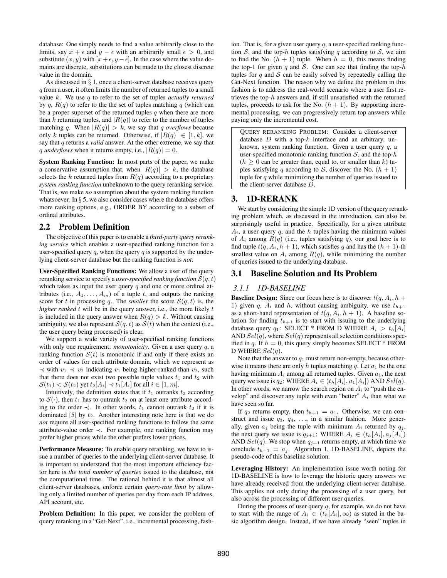database: One simply needs to find a value arbitrarily close to the limits, say  $x + \epsilon$  and  $y - \epsilon$  with an arbitrarily small  $\epsilon > 0$ , and substitute  $(x, y)$  with  $[x + \epsilon, y - \epsilon]$ . In the case where the value domains are discrete, substitutions can be made to the closest discrete value in the domain.

As discussed in § 1, once a client-server database receives query q from a user, it often limits the number of returned tuples to a small value k. We use q to refer to the set of tuples *actually returned* by  $q$ ,  $R(q)$  to refer to the the set of tuples matching  $q$  (which can be a proper superset of the returned tuples  $q$  when there are more than k returning tuples, and  $|R(q)|$  to refer to the number of tuples matching q. When  $|R(q)| > k$ , we say that q *overflows* because only k tuples can be returned. Otherwise, if  $|R(q)| \in [1, k]$ , we say that q returns a *valid* answer. At the other extreme, we say that q *underflows* when it returns empty, i.e.,  $|R(q)| = 0$ .

System Ranking Function: In most parts of the paper, we make a conservative assumption that, when  $|R(q)| > k$ , the database selects the k returned tuples from  $R(q)$  according to a proprietary *system ranking function* unbeknown to the query reranking service. That is, we make *no* assumption about the system ranking function whatsoever. In  $\S$  5, we also consider cases where the database offers more ranking options, e.g., ORDER BY according to a subset of ordinal attributes.

## 2.2 Problem Definition

The objective of this paper is to enable a *third-party query reranking service* which enables a user-specified ranking function for a user-specified query q, when the query q is supported by the underlying client-server database but the ranking function is *not*.

User-Specified Ranking Functions: We allow a user of the query reranking service to specify a *user-specified ranking function*  $S(q, t)$ which takes as input the user query  $q$  and one or more ordinal attributes (i.e.,  $A_1, \ldots, A_m$ ) of a tuple t, and outputs the ranking score for t in processing q. The *smaller* the score  $S(q, t)$  is, the *higher ranked* t will be in the query answer, i.e., the more likely t is included in the query answer when  $R(q) > k$ . Without causing ambiguity, we also represent  $S(q, t)$  as  $S(t)$  when the context (i.e., the user query being processed) is clear.

We support a wide variety of user-specified ranking functions with only one requirement: *monotonicity*. Given a user query q, a ranking function  $S(t)$  is monotonic if and only if there exists an order of values for each attribute domain, which we represent as  $\prec$  with  $v_1 \prec v_2$  indicating  $v_1$  being higher-ranked than  $v_2$ , such that there does not exist two possible tuple values  $t_1$  and  $t_2$  with  $S(t_1) < S(t_2)$  yet  $t_2[A_i] \prec t_1[A_i]$  for all  $i \in [1, m]$ .

Intuitively, the definition states that if  $t_1$  outranks  $t_2$  according to  $S(\cdot)$ , then  $t_1$  has to outrank  $t_2$  on at least one attribute according to the order  $\prec$ . In other words,  $t_1$  cannot outrank  $t_2$  if it is dominated  $[5]$  by  $t_2$ . Another interesting note here is that we do *not* require all user-specified ranking functions to follow the same attribute-value order ≺. For example, one ranking function may prefer higher prices while the other prefers lower prices.

Performance Measure: To enable query reranking, we have to issue a number of queries to the underlying client-server database. It is important to understand that the most important efficiency factor here is *the total number of queries* issued to the database, not the computational time. The rational behind it is that almost all client-server databases, enforce certain *query-rate limit* by allowing only a limited number of queries per day from each IP address, API account, etc.

Problem Definition: In this paper, we consider the problem of query reranking in a "Get-Next", i.e., incremental processing, fashion. That is, for a given user query  $q$ , a user-specified ranking function S, and the top-h tuples satisfying q according to S, we aim to find the No.  $(h + 1)$  tuple. When  $h = 0$ , this means finding the top-1 for given q and S. One can see that finding the top- $h$ tuples for q and  $S$  can be easily solved by repeatedly calling the Get-Next function. The reason why we define the problem in this fashion is to address the real-world scenario where a user first retrieves the top-h answers and, if still unsatisfied with the returned tuples, proceeds to ask for the No.  $(h + 1)$ . By supporting incremental processing, we can progressively return top answers while paying only the incremental cost.

QUERY RERANKING PROBLEM: Consider a client-server database  $D$  with a top- $k$  interface and an arbitrary, unknown, system ranking function. Given a user query  $q$ , a user-specified monotonic ranking function  $S$ , and the top- $h$  $(h > 0)$  can be greater than, equal to, or smaller than k) tuples satisfying q according to S, discover the No.  $(h + 1)$ tuple for  $q$  while minimizing the number of queries issued to the client-server database D.

## 3. 1D-RERANK

We start by considering the simple 1D version of the query reranking problem which, as discussed in the introduction, can also be surprisingly useful in practice. Specifically, for a given attribute  $A_i$ , a user query q, and the h tuples having the minimum values of  $A_i$  among  $R(q)$  (i.e., tuples satisfying q), our goal here is to find tuple  $t(q, A_i, h + 1)$ , which satisfies q and has the  $(h + 1)$ -th smallest value on  $A_i$  among  $R(q)$ , while minimizing the number of queries issued to the underlying database.

## 3.1 Baseline Solution and Its Problem

#### *3.1.1 1D-BASELINE*

**Baseline Design:** Since our focus here is to discover  $t(q, A_i, h +$ 1) given q,  $A_i$  and h, without causing ambiguity, we use  $t_{h+1}$ as a short-hand representation of  $t(q, A_i, h + 1)$ . A baseline solution for finding  $t_{h+1}$  is to start with issuing to the underlying database query  $q_1$ : SELECT \* FROM D WHERE  $A_i > t_h[A_i]$ AND  $Sel(q)$ , where  $Sel(q)$  represents all selection conditions specified in q. If  $h = 0$ , this query simply becomes SELECT  $*$  FROM D WHERE  $Sel(a)$ .

Note that the answer to  $q_1$  must return non-empty, because otherwise it means there are only h tuples matching q. Let  $a_1$  be the one having minimum  $A_i$  among all returned tuples. Given  $a_1$ , the next query we issue is  $q_2$ : WHERE  $A_i \in (t_h[A_i], a_1[A_i])$  AND  $Sel(q)$ . In other words, we narrow the search region on  $A_i$  to "push the envelop" and discover any tuple with even "better"  $A_i$  than what we have seen so far.

If  $q_2$  returns empty, then  $t_{h+1} = a_1$ . Otherwise, we can construct and issue  $q_3, q_4, \ldots$ , in a similar fashion. More generally, given  $a_i$  being the tuple with minimum  $A_i$  returned by  $q_i$ , the next query we issue is  $q_{i+1}$ : WHERE  $A_i \in (t_h[A_i], a_i[A_i])$ AND  $Sel(q)$ . We stop when  $q_{j+1}$  returns empty, at which time we conclude  $t_{h+1} = a_j$ . Algorithm 1, 1D-BASELINE, depicts the pseudo-code of this baseline solution.

Leveraging History: An implementation issue worth noting for 1D-BASELINE is how to leverage the historic query answers we have already received from the underlying client-server database. This applies not only during the processing of a user query, but also across the processing of different user queries.

During the process of user query  $q$ , for example, we do not have to start with the range of  $A_i \in (t_h[A_i], \infty)$  as stated in the basic algorithm design. Instead, if we have already "seen" tuples in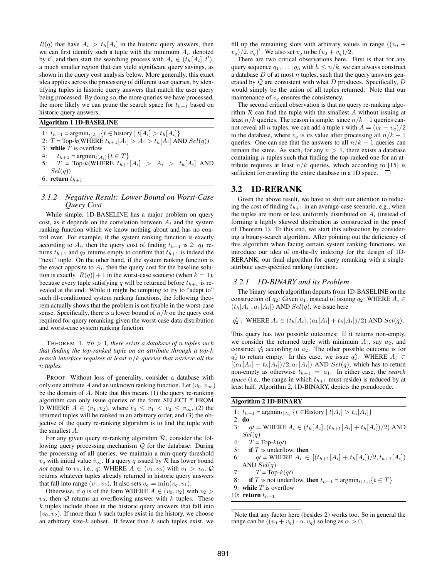$R(q)$  that have  $A_i > t_h[A_i]$  in the historic query answers, then we can first identify such a tuple with the minimum  $A_i$ , denoted by t', and then start the searching process with  $A_i \in (t_h[A_i], t')$ , a much smaller region that can yield significant query savings, as shown in the query cost analysis below. More generally, this exact idea applies across the processing of different user queries, by identifying tuples in historic query answers that match the user query being processed. By doing so, the more queries we have processed, the more likely we can prune the search space for  $t_{h+1}$  based on historic query answers.

#### Algorithm 1 1D-BASELINE

1:  $t_{h+1} = \text{argmin}_{t[A_i]} \{ t \in \text{history} | t[A_i] > t_h[A_i] \}$ 

2:  $T = \text{Top-}k(\text{WHERE } t_{h+1}[A_i] > A_i > t_h[A_i] \text{ AND } Sel(q))$ 

3: while  $T$  is overflow

4:  $t_{h+1} = \operatorname{argmin}_{t[A_i]} \{ t \in T \}$ 

5:  $T = \text{Top-}k(\text{WHERE } t_{h+1}[A_i] > A_i > t_h[A_i] \text{ AND }$  $Sel(q)$ 

6: return  $t_{h+1}$ 

#### *3.1.2 Negative Result: Lower Bound on Worst-Case Query Cost*

While simple, 1D-BASELINE has a major problem on query cost, as it depends on the correlation between  $A_i$  and the system ranking function which we know nothing about and has no control over. For example, if the system ranking function is exactly according to  $A_i$ , then the query cost of finding  $t_{h+1}$  is 2:  $q_1$  returns  $t_{h+1}$  and  $q_2$  returns empty to confirm that  $t_{h+1}$  is indeed the "next" tuple. On the other hand, if the system ranking function is the exact opposite to  $A_i$ , then the query cost for the baseline solution is exactly  $|R(q)|+1$  in the worst-case scenario (when  $k = 1$ ), because every tuple satisfying q will be returned before  $t_{h+1}$  is revealed at the end. While it might be tempting to try to "adapt to" such ill-conditioned system ranking functions, the following theorem actually shows that the problem is not fixable in the worst-case sense. Specifically, there is a lower bound of  $n/k$  on the query cost required for query reranking given the worst-case data distribution and worst-case system ranking function.

THEOREM 1.  $\forall n > 1$ , there exists a database of *n* tuples such *that finding the top-ranked tuple on an attribute through a top-*k *search interface requires at least* n/k *queries that retrieve all the* n *tuples.*

PROOF. Without loss of generality, consider a database with only one attribute A and an unknown ranking function. Let  $(v_0, v_{\infty})$ be the domain of  $A$ . Note that this means  $(1)$  the query re-ranking algorithm can only issue queries of the form SELECT \* FROM D WHERE  $A \in (v_1, v_2)$ , where  $v_0 \leq v_1 < v_2 \leq v_\infty$ , (2) the returned tuples will be ranked in an arbitrary order, and (3) the objective of the query re-ranking algorithm is to find the tuple with the smallest A.

For any given query re-ranking algorithm  $R$ , consider the following query processing mechanism Q for the database: During the processing of all queries, we maintain a min-query-threshold  $v_q$  with initial value  $v_\infty$ . If a query q issued by R has lower bound *not* equal to  $v_0$ , i.e., q: WHERE  $A \in (v_1, v_2)$  with  $v_1 > v_0$ , Q returns whatever tuples already returned in historic query answers that fall into range  $(v_1, v_2)$ . It also sets  $v_q = \min(v_q, v_1)$ .

Otherwise, if q is of the form WHERE  $A \in (v_0, v_2)$  with  $v_2 >$  $v_0$ , then Q returns an overflowing answer with k tuples. These  $k$  tuples include those in the historic query answers that fall into  $(v_0, v_2)$ . If more than k such tuples exist in the history, we choose an arbitrary size- $k$  subset. If fewer than  $k$  such tuples exist, we fill up the remaining slots with arbitrary values in range  $((v_0 +$  $(v_q)/2$ ,  $(v_q)$ <sup>1</sup>. We also set  $v_q$  to be  $(v_0 + v_q)/2$ .

There are two critical observations here. First is that for any query sequence  $q_1, \ldots, q_h$  with  $h \leq n/k$ , we can always construct a database  $D$  of at most  $n$  tuples, such that the query answers generated by  $Q$  are consistent with what  $D$  produces. Specifically,  $D$ would simply be the union of all tuples returned. Note that our maintenance of  $v_q$  ensures the consistency.

The second critical observation is that no query re-ranking algorithm  $R$  can find the tuple with the smallest  $A$  without issuing at least  $n/k$  queries. The reason is simple: since  $n/k-1$  queries cannot reveal all *n* tuples, we can add a tuple t with  $A = (v_0 + v_a)/2$ to the database, where  $v_q$  is its value after processing all  $n/k - 1$ queries. One can see that the answers to all  $n/k - 1$  queries can remain the same. As such, for any  $n > 1$ , there exists a database containing n tuples such that finding the top-ranked one for an attribute requires at least  $n/k$  queries, which according to [15] is sufficient for crawling the entire database in a 1D space.  $\Box$ 

# 3.2 1D-RERANK

Given the above result, we have to shift our attention to reducing the cost of finding  $t_{h+1}$  in an average-case scenario, e.g., when the tuples are more or less uniformly distributed on  $A_i$  (instead of forming a highly skewed distribution as constructed in the proof of Theorem 1). To this end, we start this subsection by considering a binary-search algorithm. After pointing out the deficiency of this algorithm when facing certain system ranking functions, we introduce our idea of on-the-fly indexing for the design of 1D-RERANK, our final algorithm for query reranking with a singleattribute user-specified ranking function.

## *3.2.1 1D-BINARY and its Problem*

The binary search algorithm departs from 1D-BASELINE on the construction of  $q_2$ : Given  $a_1$ , instead of issuing  $q_2$ : WHERE  $A_i \in$  $(t_h[A_i], a_1[A_i])$  AND  $Sel(q)$ , we issue here

$$
q'_2
$$
: WHERE  $A_i \in (t_h[A_i], (a_1[A_i] + t_h[A_i])/2)$  AND  $Sel(q)$ .

This query has two possible outcomes: If it returns non-empty, we consider the returned tuple with minimum  $A_i$ , say  $a_2$ , and construct  $q'_3$  according to  $a_2$ . The other possible outcome is for  $q_2'$  to return empty. In this case, we issue  $q_2''$ : WHERE  $A_i \in$  $[(a_1[A_i] + t_h[A_i])/2, a_1[A_i])$  AND  $Sel(q)$ , which has to return non-empty as otherwise  $t_{h+1} = a_1$ . In either case, the *search space* (i.e., the range in which  $t_{h+1}$  must reside) is reduced by at least half. Algorithm 2, 1D-BINARY, depicts the pseudocode.

## Algorithm 2 1D-BINARY

- 1:  $t_{h+1} = \text{argmin}_{t[A_i]} \{ t \in H \text{istory} | t[A_i] > t_h[A_i] \}$
- 2: do
- 3:  $q = \text{WHERE } A_i \in (t_h[A_i], (t_{h+1}[A_i] + t_h[A_i])/2) \text{ AND }$  $Sel(q)$
- 4:  $T = \text{Top-}k(q)$
- 5: if  $T$  is underflow, then
- 6:  $q'$  = WHERE  $A_i \in [(t_{h+1}[A_i] + t_h[A_i])/2, t_{h+1}[A_i])$ AND  $Sel(q)$
- 7:  $T = \text{Top-}k(q)$
- 8: if T is not underflow, then  $t_{h+1} = \operatorname{argmin}_{t[A_i]} \{t \in T\}$
- 9: while  $T$  is overflow
- 10: return  $t_{h+1}$

<sup>&</sup>lt;sup>1</sup>Note that any factor here (besides 2) works too. So in general the range can be  $((v_0 + v_q) \cdot \alpha, v_q)$  so long as  $\alpha > 0$ .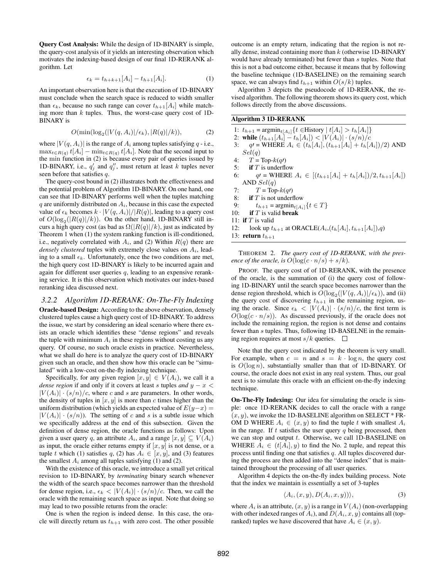Query Cost Analysis: While the design of 1D-BINARY is simple, the query-cost analysis of it yields an interesting observation which motivates the indexing-based design of our final 1D-RERANK algorithm. Let

$$
\epsilon_k = t_{h+k+1}[A_i] - t_{h+1}[A_i]. \tag{1}
$$

An important observation here is that the execution of 1D-BINARY must conclude when the search space is reduced to width smaller than  $\epsilon_k$ , because no such range can cover  $t_{h+1}[A_i]$  while matching more than  $k$  tuples. Thus, the worst-case query cost of 1D-BINARY is

$$
O(\min(\log_2(|V(q, A_i)|/\epsilon_k), |R(q)|/k)),\tag{2}
$$

where  $|V(q, A_i)|$  is the range of  $A_i$  among tuples satisfying q - i.e.,  $\max_{t \in R(q)} t[A_i] - \min_{t \in R(q)} t[A_i]$ . Note that the second input to the min function in (2) is because every pair of queries issued by 1D-BINARY, i.e.,  $q'_j$  and  $q''_j$ , must return at least k tuples never seen before that satisfies q.

The query-cost bound in (2) illustrates both the effectiveness and the potential problem of Algorithm 1D-BINARY. On one hand, one can see that 1D-BINARY performs well when the tuples matching  $q$  are uniformly distributed on  $A_i$ , because in this case the expected value of  $\epsilon_k$  becomes  $k \cdot |V(q, A_i)|/|R(q)|$ , leading to a query cost of  $O(log_2(|R(q)|/k))$ . On the other hand, 1D-BINARY still incurs a high query cost (as bad as  $\Omega(|R(q)|/k)$ , just as indicated by Theorem 1 when (1) the system ranking function is ill-conditioned, i.e., negatively correlated with  $A_i$ , and (2) Within  $R(q)$  there are *densely clustered* tuples with extremely close values on  $A_i$ , leading to a small  $\epsilon_k$ . Unfortunately, once the two conditions are met, the high query cost 1D-BINARY is likely to be incurred again and again for different user queries  $q$ , leading to an expensive reranking service. It is this observation which motivates our index-based reranking idea discussed next.

## *3.2.2 Algorithm 1D-RERANK: On-The-Fly Indexing*

Oracle-based Design: According to the above observation, densely clustered tuples cause a high query cost of 1D-BINARY. To address the issue, we start by considering an ideal scenario where there exists an oracle which identifies these "dense regions" and reveals the tuple with minimum  $A_i$  in these regions without costing us any query. Of course, no such oracle exists in practice. Nevertheless, what we shall do here is to analyze the query cost of 1D-BINARY given such an oracle, and then show how this oracle can be "simulated" with a low-cost on-the-fly indexing technique.

Specifically, for any given region  $[x, y] \in V(A_i)$ , we call it a *dense region* if and only if it covers at least s tuples and  $y - x <$  $|V(A_i)| \cdot (s/n)/c$ , where c and s are parameters. In other words, the density of tuples in  $[x, y]$  is more than c times higher than the uniform distribution (which yields an expected value of  $E(y-x) =$  $|V(A_i)| \cdot (s/n)$ . The setting of c and s is a subtle issue which we specifically address at the end of this subsection. Given the definition of dense region, the oracle functions as follows: Upon given a user query q, an attribute  $A_i$ , and a range  $[x, y] \subseteq V(A_i)$ as input, the oracle either returns empty if  $[x, y]$  is not dense, or a tuple t which (1) satisfies q, (2) has  $A_i \in [x, y]$ , and (3) features the smallest  $A_i$  among all tuples satisfying (1) and (2).

With the existence of this oracle, we introduce a small yet critical revision to 1D-BINARY, by *terminating* binary search whenever the width of the search space becomes narrower than the threshold for dense region, i.e.,  $\epsilon_k < |V(A_i)| \cdot (s/n)/c$ . Then, we call the oracle with the remaining search space as input. Note that doing so may lead to two possible returns from the oracle:

One is when the region is indeed dense. In this case, the oracle will directly return us  $t_{h+1}$  with zero cost. The other possible outcome is an empty return, indicating that the region is not really dense, instead containing more than  $k$  (otherwise 1D-BINARY would have already terminated) but fewer than s tuples. Note that this is not a bad outcome either, because it means that by following the baseline technique (1D-BASELINE) on the remaining search space, we can always find  $t_{h+1}$  within  $O(s/k)$  tuples.

Algorithm 3 depicts the pseudocode of 1D-RERANK, the revised algorithm. The following theorem shows its query cost, which follows directly from the above discussions.

## Algorithm 3 1D-RERANK

- 1:  $t_{h+1} = \text{argmin}_{t[A_i]} \{ t \in H \text{istory} | t[A_i] > t_h[A_i] \}$
- 2: while  $(t_{h+1}[A_i] t_h[A_i]) < |V(A_i)| \cdot (s/n)/c$
- 3:  $q'$  = WHERE  $A_i \in (t_h[A_i], (t_{h+1}[A_i] + t_h[A_i])/2)$  AND  $Sel(q)$
- 4:  $T = \text{Top-}k(q)$
- 5: if  $T$  is underflow
- 6:  $q' = \text{WHERE } A_i \in [(t_{h+1}[A_i] + t_h[A_i])/2, t_{h+1}[A_i])$ AND  $Sel(q)$
- 7:  $T = \text{Top-}k(q)$
- 8: **if** T is not underflow<br>9:  $t_{h+1} = \operatorname{argmin}_{t \in A}$ .
- 9:  $t_{h+1} = \operatorname{argmin}_{t[A_i]} \{t \in T\}$ <br>10: **if** *T* is valid **break**
- if  $T$  is valid break
- 11: if  $T$  is valid
- 12: look up  $t_{h+1}$  at ORACLE( $A_i$ ,  $(t_h[A_i], t_{h+1}[A_i])$ , $q$ )

13: return  $t_{h+1}$ 

THEOREM 2. *The query cost of 1D-RERANK, with the presence of the oracle, is*  $O(\log(c \cdot n/s) + s/k)$ *.* 

PROOF. The query cost of of 1D-RERANK, with the presence of the oracle, is the summation of (i) the query cost of following 1D-BINARY until the search space becomes narrower than the dense region threshold, which is  $O(log_2(|V(q, A_i)|/\epsilon_k))$ , and (ii) the query cost of discovering  $t_{h+1}$  in the remaining region, using the oracle. Since  $\epsilon_k < |V(A_i)| \cdot (s/n)/c$ , the first term is  $O(\log(c \cdot n/s))$ . As discussed previously, if the oracle does not include the remaining region, the region is not dense and contains fewer than s tuples. Thus, following 1D-BASELNE in the remaining region requires at most  $s/k$  queries.  $\Box$ 

Note that the query cost indicated by the theorem is very small. For example, when  $c = n$  and  $s = k \cdot \log n$ , the query cost is  $O(\log n)$ , substantially smaller than that of 1D-BINARY. Of course, the oracle does not exist in any real system. Thus, our goal next is to simulate this oracle with an efficient on-the-fly indexing technique.

On-The-Fly Indexing: Our idea for simulating the oracle is simple: once 1D-RERANK decides to call the oracle with a range  $(x, y)$ , we invoke the 1D-BASELINE algorithm on SELECT  $*$  FR-OM D WHERE  $A_i \in (x, y)$  to find the tuple t with smallest  $A_i$ in the range. If  $t$  satisfies the user query  $q$  being processed, then we can stop and output  $t$ . Otherwise, we call 1D-BASELINE on WHERE  $A_i \in (t[A_i], y)$  to find the No. 2 tuple, and repeat this process until finding one that satisfies q. All tuples discovered during the process are then added into the "dense index" that is maintained throughout the processing of all user queries.

Algorithm 4 depicts the on-the-fly index building process. Note that the index we maintain is essentially a set of 3-tuples

$$
\langle A_i, (x, y), D(A_i, x, y)) \rangle, \tag{3}
$$

where  $A_i$  is an attribute,  $(x, y)$  is a range in  $V(A_i)$  (non-overlapping with other indexed ranges of  $A_i$ ), and  $D(A_i, x, y)$  contains all (topranked) tuples we have discovered that have  $A_i \in (x, y)$ .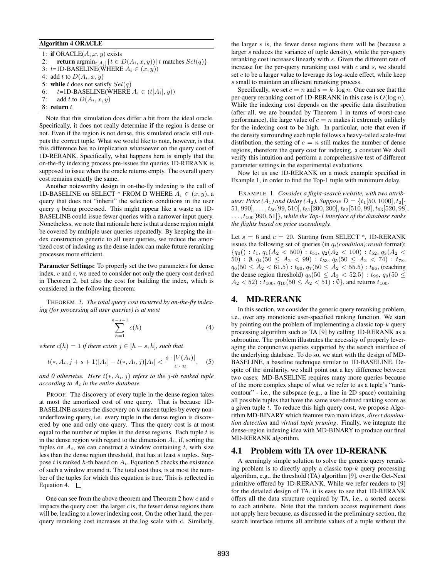## Algorithm 4 ORACLE

1: if ORACLE( $A_i$ , $x$ ,  $y$ ) exists 2: **return**  $\operatorname{argmin}_{t[A_i]} \{t \in D(A_i, x, y)) | t \text{ matches } Sel(q) \}$ 3:  $t=1$ D-BASELINE(WHERE  $A_i \in (x, y)$ ) 4: add t to  $D(A_i, x, y)$ 5: while t does not satisfy  $Sel(q)$ 6:  $t=1D-BASELINE(WHERE A_i \in (t[A_i], y))$ 7: add t to  $D(A_i, x, y)$ 8: return  $t$ 

Note that this simulation does differ a bit from the ideal oracle. Specifically, it does not really determine if the region is dense or not. Even if the region is not dense, this simulated oracle still outputs the correct tuple. What we would like to note, however, is that this difference has no implication whatsoever on the query cost of 1D-RERANK. Specifically, what happens here is simply that the on-the-fly indexing process pre-issues the queries 1D-RERANK is supposed to issue when the oracle returns empty. The overall query cost remains exactly the same.

Another noteworthy design in on-the-fly indexing is the call of 1D-BASELINE on SELECT \* FROM D WHERE  $A_i \in (x, y)$ , a query that does not "inherit" the selection conditions in the user query  $q$  being processed. This might appear like a waste as 1D-BASELINE could issue fewer queries with a narrower input query. Nonetheless, we note that rationale here is that a dense region might be covered by multiple user queries repeatedly. By keeping the index construction generic to all user queries, we reduce the amortized cost of indexing as the dense index can make future reranking processes more efficient.

Parameter Settings: To properly set the two parameters for dense index, c and s, we need to consider not only the query cost derived in Theorem 2, but also the cost for building the index, which is considered in the following theorem:

THEOREM 3. *The total query cost incurred by on-the-fly indexing (for processing all user queries) is at most*

$$
\sum_{h=1}^{n-s-1} c(h) \tag{4}
$$

*where*  $c(h) = 1$  *if there exists*  $j \in [h - s, h]$ *, such that* 

$$
t(*, A_i, j+s+1)[A_i] - t(*, A_i, j)[A_i] < \frac{s \cdot |V(A_i)|}{c \cdot n}, \quad (5)
$$

*and 0 otherwise. Here*  $t(*, A_i, j)$  *refers to the j-th ranked tuple according to*  $A_i$  *in the entire database.* 

PROOF. The discovery of every tuple in the dense region takes at most the amortized cost of one query. That is because 1D-BASELINE assures the discovery on  $k$  unseen tuples by every nonunderflowing query, i.e. every tuple in the dense region is discovered by one and only one query. Thus the query cost is at most equal to the number of tuples in the dense regions. Each tuple  $t$  is in the dense region with regard to the dimension  $A_i$ , if, sorting the tuples on  $A_i$ , we can construct a window containing t, with size less than the dense region threshold, that has at least s tuples. Suppose t is ranked h-th based on  $A_i$ . Equation 5 checks the existence of such a window around it. The total cost thus, is at most the number of the tuples for which this equation is true. This is reflected in Equation 4.  $\Box$ 

One can see from the above theorem and Theorem 2 how c and s impacts the query cost: the larger  $c$  is, the fewer dense regions there will be, leading to a lower indexing cost. On the other hand, the perquery reranking cost increases at the log scale with c. Similarly, the larger  $s$  is, the fewer dense regions there will be (because a larger s reduces the variance of tuple density), while the per-query reranking cost increases linearly with s. Given the different rate of increase for the per-query reranking cost with  $c$  and  $s$ , we should set  $c$  to be a larger value to leverage its log-scale effect, while keep s small to maintain an efficient reranking process.

Specifically, we set  $c = n$  and  $s = k \cdot \log n$ . One can see that the per-query reranking cost of 1D-RERANK in this case is  $O(\log n)$ . While the indexing cost depends on the specific data distribution (after all, we are bounded by Theorem 1 in terms of worst-case performance), the large value of  $c = n$  makes it extremely unlikely for the indexing cost to be high. In particular, note that even if the density surrounding each tuple follows a heavy-tailed scale-free distribution, the setting of  $c = n$  still makes the number of dense regions, therefore the query cost for indexing, a constant.We shall verify this intuition and perform a comprehensive test of different parameter settings in the experimental evaluations.

Now let us use 1D-RERANK on a mock example specified in Example 1, in order to find the Top-1 tuple with minimum delay.

EXAMPLE 1. *Consider a flight-search website, with two attributes: Price*  $(A_1)$  *and Delay*  $(A_2)$ *. Suppose*  $D = \{t_1[50, 1000], t_2[t]$  $51, 990]$ ,  $\dots$ ,  $t_{50}[99, 510]$ ,  $t_{51}[200, 200]$ ,  $t_{52}[510, 99]$ ,  $t_{53}[520, 98]$ , ...,  $t_{100}[990, 51]$ *}, while the Top-1 interface of the database ranks the flights based on price ascendingly.*

Let  $s = 6$  and  $c = 20$ . Starting from SELECT \*, 1D-RERANK issues the following set of queries (in  $q_i$ (*condition*): *result* format):  ${q_0() : t_1, q_1(A_2 < 500) : t_{51}, q_2(A_2 < 100) : t_{52}, q_3(A_2 <$ 50) : Ø,  $q_4(50 \leq A_2 < 99)$  :  $t_{53}$ ,  $q_5(50 \leq A_2 < 74)$  :  $t_{78}$ ,  $q_6(50 \leq A_2 < 61.5)$ :  $t_{90}, q_7(50 \leq A_2 < 55.5)$ :  $t_{96}$ , (reaching the dense region threshold)  $q_8(50 \leq A_2 < 52.5)$ :  $t_{99}, q_9(50 \leq$  $A_2 < 52$ ):  $t_{100}$ ,  $q_{10} (50 \le A_2 < 51)$ :  $\emptyset$ }, and returns  $t_{100}$ .

# 4. MD-RERANK

In this section, we consider the generic query reranking problem, i.e., over any monotonic user-specified ranking function. We start by pointing out the problem of implementing a classic top- $k$  query processing algorithm such as TA [9] by calling 1D-RERANK as a subroutine. The problem illustrates the necessity of properly leveraging the conjunctive queries supported by the search interface of the underlying database. To do so, we start with the design of MD-BASELINE, a baseline technique similar to 1D-BASELINE. Despite of the similarity, we shall point out a key difference between two cases: MD-BASELINE requires many more queries because of the more complex shape of what we refer to as a tuple's "rankcontour" - i.e., the subspace (e.g., a line in 2D space) containing all possible tuples that have the same user-defined ranking score as a given tuple  $t$ . To reduce this high query cost, we propose Algorithm MD-BINARY which features two main ideas, *direct domination detection* and *virtual tuple pruning*. Finally, we integrate the dense-region indexing idea with MD-BINARY to produce our final MD-RERANK algorithm.

# 4.1 Problem with TA over 1D-RERANK

A seemingly simple solution to solve the generic query reranking problem is to directly apply a classic top- $k$  query processing algorithm, e.g., the threshold (TA) algorithm [9], over the Get-Next primitive offered by 1D-RERANK. While we refer readers to [9] for the detailed design of TA, it is easy to see that 1D-RERANK offers all the data structure required by TA, i.e., a sorted access to each attribute. Note that the random access requirement does not apply here because, as discussed in the preliminary section, the search interface returns all attribute values of a tuple without the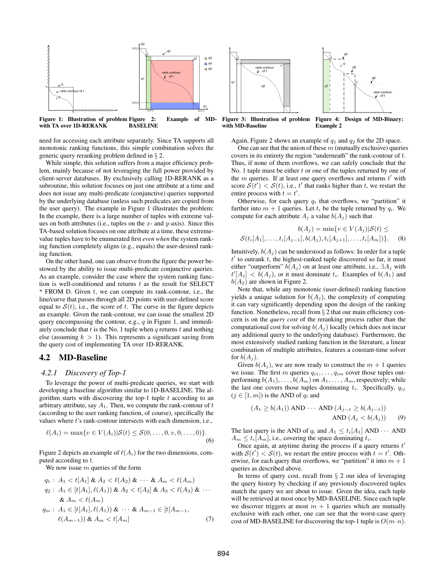

need for accessing each attribute separately. Since TA supports all monotonic ranking functions, this simple combination solves the generic query reranking problem defined in § 2.

While simple, this solution suffers from a major efficiency problem, mainly because of not leveraging the full power provided by client-server databases. By exclusively calling 1D-RERANK as a subroutine, this solution focuses on just one attribute at a time and does not issue any multi-predicate (conjunctive) queries supported by the underlying database (unless such predicates are copied from the user query). The example in Figure 1 illustrates the problem: In the example, there is a large number of tuples with extreme values on both attributes (i.e., tuples on the x- and  $y$ -axis). Since this TA-based solution focuses on one attribute at a time, these extremevalue tuples have to be enumerated first *even when* the system ranking function completely aligns (e.g., equals) the user-desired ranking function.

On the other hand, one can observe from the figure the power bestowed by the ability to issue multi-predicate conjunctive queries. As an example, consider the case where the system ranking function is well-conditioned and returns  $t$  as the result for SELECT  $*$  FROM D. Given  $t$ , we can compute its rank-contour, i.e., the line/curve that passes through all 2D points with user-defined score equal to  $S(t)$ , i.e., the score of t. The curve in the figure depicts an example. Given the rank-contour, we can issue the smallest 2D query encompassing the contour, e.g.,  $q$  in Figure 1, and immediately conclude that t is the No. 1 tuple when q returns t and nothing else (assuming  $k > 1$ ). This represents a significant saving from the query cost of implementing TA over 1D-RERANK.

## 4.2 MD-Baseline

#### *4.2.1 Discovery of Top-1*

To leverage the power of multi-predicate queries, we start with developing a baseline algorithm similar to 1D-BASELINE. The algorithm starts with discovering the top-1 tuple  $t$  according to an arbitrary attribute, say  $A_1$ . Then, we compute the rank-contour of  $t$ (according to the user ranking function, of course), specifically the values where  $t$ 's rank-contour intersects with each dimension, i.e.,

$$
\ell(A_i) = \max\{v \in V(A_i) | S(t) \le S(0, \dots, 0, v, 0, \dots, 0)\}.
$$
\n(6)

Figure 2 depicts an example of  $\ell(A_i)$  for the two dimensions, computed according to  $t$ .

We now issue  $m$  queries of the form

$$
q_1: A_1 < t[A_1] \& A_2 < \ell(A_2) \& \cdots \& A_m < \ell(A_m)
$$
\n
$$
q_2: A_1 \in [t[A_1], \ell(A_1)) \& A_2 < t[A_2] \& A_3 < \ell(A_3) \& \cdots
$$
\n
$$
\& A_m < \ell(A_m)
$$
\n
$$
q_m: A_1 \in [t[A_1], \ell(A_1)) \& \cdots \& A_{m-1} \in [t[A_{m-1}, \ell(A_{m-1})) \& A_m < t[A_m]
$$
\n
$$
(7)
$$



Figure 3: Illustration of problem with MD-Baseline Figure 4: Design of MD-Binary: Example 2

Again, Figure 2 shows an example of  $q_1$  and  $q_2$  for the 2D space.

One can see that the union of these  $m$  (mutually exclusive) queries covers in its entirety the region "underneath" the rank-contour of t. Thus, if none of them overflows, we can safely conclude that the No. 1 tuple must be either  $t$  or one of the tuples returned by one of the  $m$  queries. If at least one query overflows and returns  $t'$  with score  $S(t') < S(t)$ , i.e., t' that ranks higher than t, we restart the entire process with  $t = t'$ .

Otherwise, for each query  $q_i$  that overflows, we "partition" it further into  $m + 1$  queries. Let  $t_i$  be the tuple returned by  $q_i$ . We compute for each attribute  $A_j$  a value  $b(A_j)$  such that

$$
b(A_j) = \min\{v \in V(A_j) | \mathcal{S}(t) \le
$$
  

$$
\mathcal{S}(t_i[A_1], \dots, t_i[A_{j-1}], b(A_j), t_i[A_{j+1}], \dots, t_i[A_m])\}.
$$
 (8)

Intuitively,  $b(A_j)$  can be understood as follows: In order for a tuple  $t'$  to outrank  $t$ , the highest-ranked tuple discovered so far, it must either "outperform"  $b(A_i)$  on at least one attribute, i.e.,  $\exists A_i$  with  $t'[A_j] < b(A_j)$ , or it must dominate  $t_i$ . Examples of  $b(A_1)$  and  $b(A_2)$  are shown in Figure 2.

Note that, while any monotonic (user-defined) ranking function yields a unique solution for  $b(A_j)$ , the complexity of computing it can vary significantly depending upon the design of the ranking function. Nonetheless, recall from § 2 that our main efficiency concern is on the *query cost* of the reranking process rather than the computational cost for solving  $b(A_i)$  locally (which does not incur any additional query to the underlying database). Furthermore, the most extensively studied ranking function in the literature, a linear combination of multiple attributes, features a constant-time solver for  $b(A_j)$ .

Given  $b(A_j)$ , we are now ready to construct the  $m + 1$  queries we issue. The first m queries  $q_{i1}, \ldots, q_{im}$  cover those tuples outperforming  $b(A_1), \ldots, b(A_m)$  on  $A_1, \ldots, A_m$ , respectively; while the last one covers those tuples dominating  $t_i$ . Specifically,  $q_{ij}$  $(j \in [1, m])$  is the AND of  $q_i$  and

$$
(A_1 \ge b(A_1)) \text{ AND } \cdots \text{ AND } (A_{j-1} \ge b(A_{j-1}))
$$
  
AND  $(A_j < b(A_j))$  (9)

The last query is the AND of  $q_i$  and  $A_1 \le t_i[A_1]$  AND  $\cdots$  AND  $A_m \leq t_i |A_m|$ , i.e., covering the space dominating  $t_i$ .

Once again, at anytime during the process if a query returns  $t'$ with  $S(t') < S(t)$ , we restart the entire process with  $t = t'$ . Otherwise, for each query that overflows, we "partition" it into  $m + 1$ queries as described above.

In terms of query cost, recall from  $\S$  2 our idea of leveraging the query history by checking if any previously discovered tuples match the query we are about to issue. Given the idea, each tuple will be retrieved at most once by MD-BASELINE. Since each tuple we discover triggers at most  $m + 1$  queries which are mutually exclusive with each other, one can see that the worst-case query cost of MD-BASELINE for discovering the top-1 tuple is  $O(m \cdot n)$ .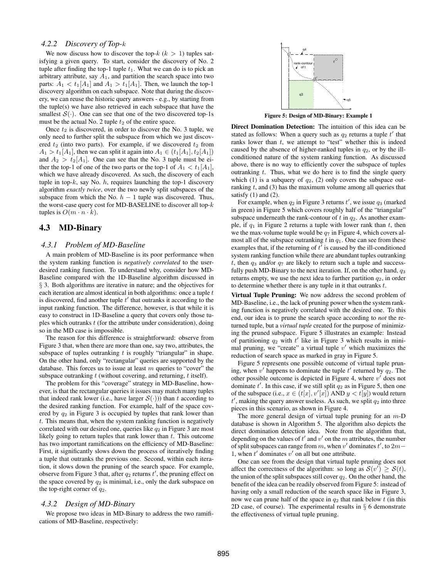## *4.2.2 Discovery of Top-*k

We now discuss how to discover the top- $k (k > 1)$  tuples satisfying a given query. To start, consider the discovery of No. 2 tuple after finding the top-1 tuple  $t_1$ . What we can do is to pick an arbitrary attribute, say  $A_1$ , and partition the search space into two parts:  $A_1 < t_1[A_1]$  and  $A_1 > t_1[A_1]$ . Then, we launch the top-1 discovery algorithm on each subspace. Note that during the discovery, we can reuse the historic query answers - e.g., by starting from the tuple(s) we have also retrieved in each subspace that have the smallest  $S(\cdot)$ . One can see that one of the two discovered top-1s must be the actual No. 2 tuple  $t_2$  of the entire space.

Once  $t_2$  is discovered, in order to discover the No. 3 tuple, we only need to further split the subspace from which we just discovered  $t_2$  (into two parts). For example, if we discovered  $t_2$  from  $A_1 > t_1[A_1]$ , then we can split it again into  $A_1 \in (t_1[A_1], t_2[A_1])$ and  $A_2 > t_2[A_1]$ . One can see that the No. 3 tuple must be either the top-1 of one of the two parts or the top-1 of  $A_1 < t_1[A_1]$ , which we have already discovered. As such, the discovery of each tuple in top- $k$ , say No.  $h$ , requires launching the top-1 discovery algorithm *exactly twice*, over the two newly split subspaces of the subspace from which the No.  $h - 1$  tuple was discovered. Thus, the worst-case query cost for MD-BASELINE to discover all top-k tuples is  $O(m \cdot n \cdot k)$ .

# 4.3 MD-Binary

#### *4.3.1 Problem of MD-Baseline*

A main problem of MD-Baseline is its poor performance when the system ranking function is *negatively correlated* to the userdesired ranking function. To understand why, consider how MD-Baseline compared with the 1D-Baseline algorithm discussed in § 3. Both algorithms are iterative in nature; and the objectives for each iteration are almost identical in both algorithms: once a tuple  $t$ is discovered, find another tuple  $t'$  that outranks it according to the input ranking function. The difference, however, is that while it is easy to construct in 1D-Baseline a query that covers only those tuples which outranks  $t$  (for the attribute under consideration), doing so in the MD case is impossible.

The reason for this difference is straightforward: observe from Figure 3 that, when there are more than one, say two, attributes, the subspace of tuples outranking  $t$  is roughly "triangular" in shape. On the other hand, only "rectangular" queries are supported by the database. This forces us to issue at least  $m$  queries to "cover" the subspace outranking  $t$  (without covering, and returning,  $t$  itself).

The problem for this "coverage" strategy in MD-Baseline, however, is that the rectangular queries it issues may match many tuples that indeed rank lower (i.e., have larger  $S(\cdot)$ )) than t according to the desired ranking function. For example, half of the space covered by  $q_2$  in Figure 3 is occupied by tuples that rank lower than t. This means that, when the system ranking function is negatively correlated with our desired one, queries like  $q_2$  in Figure 3 are most likely going to return tuples that rank lower than  $t$ . This outcome has two important ramifications on the efficiency of MD-Baseline: First, it significantly slows down the process of iteratively finding a tuple that outranks the previous one. Second, within each iteration, it slows down the pruning of the search space. For example, observe from Figure 3 that, after  $q_2$  returns  $t'$ , the pruning effect on the space covered by  $q_2$  is minimal, i.e., only the dark subspace on the top-right corner of  $q_2$ .

#### *4.3.2 Design of MD-Binary*

We propose two ideas in MD-Binary to address the two ramifications of MD-Baseline, respectively:



Figure 5: Design of MD-Binary: Example 1

Direct Domination Detection: The intuition of this idea can be stated as follows: When a query such as  $q_2$  returns a tuple  $t'$  that ranks lower than  $t$ , we attempt to "test" whether this is indeed caused by the absence of higher-ranked tuples in  $q_2$ , or by the illconditioned nature of the system ranking function. As discussed above, there is no way to efficiently cover the subspace of tuples outranking  $t$ . Thus, what we do here is to find the single query which (1) is a subquery of  $q_2$ , (2) only covers the subspace outranking  $t$ , and  $(3)$  has the maximum volume among all queries that satisfy  $(1)$  and  $(2)$ .

For example, when  $q_2$  in Figure 3 returns  $t'$ , we issue  $q_3$  (marked in green) in Figure 5 which covers roughly half of the "triangular" subspace underneath the rank-contour of  $t$  in  $q_2$ . As another example, if  $q_1$  in Figure 2 returns a tuple with lower rank than t, then we the max-volume tuple would be  $q_7$  in Figure 4, which covers almost all of the subspace outranking  $t$  in  $q_1$ . One can see from these examples that, if the returning of  $t^{\bar{i}}$  is caused by the ill-conditioned system ranking function while there are abundant tuples outranking t, then  $q_3$  and/or  $q_7$  are likely to return such a tuple and successfully push MD-Binary to the next iteration. If, on the other hand,  $q_3$ returns empty, we use the next idea to further partition  $q_2$ , in order to determine whether there is any tuple in it that outranks  $t$ .

Virtual Tuple Pruning: We now address the second problem of MD-Baseline, i.e., the lack of pruning power when the system ranking function is negatively correlated with the desired one. To this end, our idea is to prune the search space according to *not* the returned tuple, but a *virtual tuple* created for the purpose of minimizing the pruned subspace. Figure 5 illustrates an example: Instead of partitioning  $q_2$  with  $t'$  like in Figure 3 which results in minimal pruning, we "create" a virtual tuple  $v'$  which maximizes the reduction of search space as marked in gray in Figure 5.

Figure 5 represents one possible outcome of virtual tuple pruning, when  $v'$  happens to dominate the tuple  $t'$  returned by  $q_2$ . The other possible outcome is depicted in Figure 4, where  $v'$  does not dominate  $t'$ . In this case, if we still split  $q_2$  as in Figure 5, then one of the subspace (i.e.,  $x \in (t[x], v'[x])$  AND  $y < t[y]$ ) would return  $t'$ , making the query answer useless. As such, we split  $q_2$  into three pieces in this scenario, as shown in Figure 4.

The more general design of virtual tuple pruning for an  $m$ -D database is shown in Algorithm 5. The algorithm also depicts the direct domination detection idea. Note from the algorithm that, depending on the values of  $t'$  and  $v'$  on the m attributes, the number of split subspaces can range from m, when v' dominates t', to  $2m-$ 1, when  $t'$  dominates  $v'$  on all but one attribute.

One can see from the design that virtual tuple pruning does not affect the correctness of the algorithm: so long as  $\mathcal{S}(v') \geq \mathcal{S}(t)$ , the union of the split subspaces still cover  $q_2$ . On the other hand, the benefit of the idea can be readily observed from Figure 5: instead of having only a small reduction of the search space like in Figure 3, now we can prune half of the space in  $q_2$  that rank below t (in this 2D case, of course). The experimental results in § 6 demonstrate the effectiveness of virtual tuple pruning.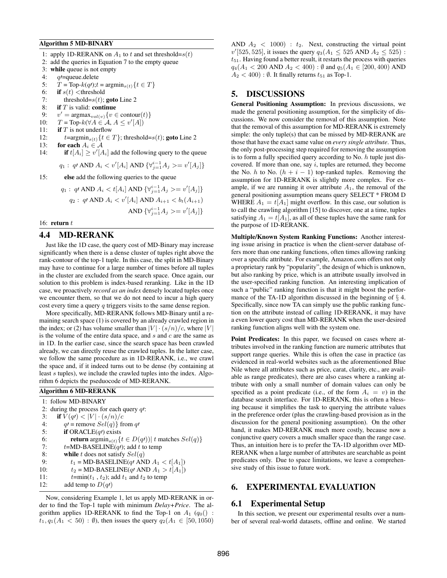#### Algorithm 5 MD-BINARY

1: apply 1D-RERANK on  $A_1$  to t and set threshold= $s(t)$ 

- 2: add the queries in Equation 7 to the empty queue
- 3: while queue is not empty
- 4:  $q$  = queue.delete
- 5:  $T = \text{Top-}k(q)$ ;  $t = \text{argmin}_{s(t)} \{ t \in T \}$
- 6: if  $s(t)$  <threshold
- 7: threshold= $s(t)$ ; goto Line 2
- 8: if  $T$  is valid: continue
- $9:$  $v' = \text{argmax}_{vol(v)} \{v \in \text{contour}(t)\}\$
- 10:  $T = \text{Top-}k(\forall A \in \mathcal{A}, A \leq v'[A])$
- 11: **if**  $T$  is not underflow
- 12:  $t=\arg\min_{s(t)}\{t \in T\}$ ; threshold= $s(t)$ ; goto Line 2
- 13: for each  $A_i \in \mathcal{A}$
- 14: **if**  $t[A_i] \ge v'[A_i]$  add the following query to the queue

$$
q_1: q \in AND A_i < v'[A_i] AND \{ \forall_{j=1}^{i-1} A_j >= v'[A_j] \}
$$

15: else add the following queries to the queue

$$
q_1: q \text{ AND } A_i < t[A_i] \text{ AND } \{ \forall_{j=1}^{i-1} A_j >= v'[A_j] \}
$$
\n
$$
q_2: q \text{ AND } A_i < v'[A_i] \text{ AND } A_{i+1} < b_t(A_{i+1})
$$
\n
$$
\text{ AND } \{ \forall_{j=1}^{i-1} A_j >= v'[A_j] \}
$$

16: return  $t$ 

# 4.4 MD-RERANK

Just like the 1D case, the query cost of MD-Binary may increase significantly when there is a dense cluster of tuples right above the rank-contour of the top-1 tuple. In this case, the split in MD-Binary may have to continue for a large number of times before all tuples in the cluster are excluded from the search space. Once again, our solution to this problem is index-based reranking. Like in the 1D case, we proactively *record as an index* densely located tuples once we encounter them, so that we do not need to incur a high query cost every time a query q triggers visits to the same dense region.

More specifically, MD-RERANK follows MD-Binary until a remaining search space (1) is covered by an already crawled region in the index; or (2) has volume smaller than  $|V| \cdot (s/n)/c$ , where  $|V|$ is the volume of the entire data space, and  $s$  and  $c$  are the same as in 1D. In the earlier case, since the search space has been crawled already, we can directly reuse the crawled tuples. In the latter case, we follow the same procedure as in 1D-RERANK, i.e., we crawl the space and, if it indeed turns out to be dense (by containing at least s tuples), we include the crawled tuples into the index. Algorithm 6 depicts the pseduocode of MD-RERANK.

| <b>Algorithm 6 MD-RERANK</b> |                                                                                      |
|------------------------------|--------------------------------------------------------------------------------------|
|                              | 1: follow MD-BINARY                                                                  |
|                              | 2: during the process for each query $q$ :                                           |
| 3:                           | if $V(q) <  V  \cdot (s/n)/c$                                                        |
| 4:                           | $q$ = remove $Sel(q)$ from q'                                                        |
| 5:                           | <b>if</b> ORACLE $(q)$ exists                                                        |
| 6:                           | <b>return</b> argmin <sub>s(t)</sub> $\{t \in D(q) \mid t \text{ matches } Sel(q)\}$ |
| 7:                           | $t = MD-BASELINE(qt)$ ; add t to temp                                                |
| 8:                           | while t does not satisfy $Sel(q)$                                                    |
| 9:                           | $t_1$ = MD-BASELINE(ql AND $A_1 < t[A_1]$ )                                          |
| 10:                          | $t_2$ = MD-BASELINE(q/ AND $A_1 > t[A_1]$ )                                          |
| 11:                          | $t = min(t_1, t_2)$ ; add $t_1$ and $t_2$ to temp                                    |
| 12:                          | add temp to $D(q)$                                                                   |

Now, considering Example 1, let us apply MD-RERANK in order to find the Top-1 tuple with minimum *Delay+Price*. The algorithm applies 1D-RERANK to find the Top-1 on  $A_1$  ( $q_0$ () :  $t_1, q_1(A_1 < 50)$ : Ø), then issues the query  $q_2(A_1 \in [50, 1050)$  AND  $A_2 < 1000$ ) :  $t_2$ . Next, constructing the virtual point  $v'[525, 525]$ , it issues the query  $q_3(A_1 \leq 525 \text{ AND } A_2 \leq 525)$ :  $t_{51}$ . Having found a better result, it restarts the process with queries  $q_4(A_1 < 200$  AND  $A_2 < 400$ ):  $\emptyset$  and  $q_5(A_1 \in [200, 400)$  AND  $A_2 < 400$ ) : Ø. It finally returns  $t_{51}$  as Top-1.

## 5. DISCUSSIONS

General Positioning Assumption: In previous discussions, we made the general positioning assumption, for the simplicity of discussions. We now consider the removal of this assumption. Note that the removal of this assumption for MD-RERANK is extremely simple: the only tuple(s) that can be missed by MD-RERANK are those that have the exact same value on *every single attribute*. Thus, the only post-processing step required for removing the assumption is to form a fully specified query according to No.  $h$  tuple just discovered. If more than one, say  $i$ , tuples are returned, they become the No. h to No.  $(h + i - 1)$  top-ranked tuples. Removing the assumption for 1D-RERANK is slightly more complex. For example, if we are running it over attribute  $A_1$ , the removal of the general positioning assumption means query SELECT \* FROM D WHERE  $A_1 = t[A_1]$  might overflow. In this case, our solution is to call the crawling algorithm [15] to discover, one at a time, tuples satisfying  $A_1 = t[A_1]$ , as all of these tuples have the same rank for the purpose of 1D-RERANK.

Multiple/Known System Ranking Functions: Another interesting issue arising in practice is when the client-server database offers more than one ranking functions, often times allowing ranking over a specific attribute. For example, Amazon.com offers not only a proprietary rank by "popularity", the design of which is unknown, but also ranking by price, which is an attribute usually involved in the user-specified ranking function. An interesting implication of such a "public" ranking function is that it might boost the performance of the TA-1D algorithm discussed in the beginning of  $\S$  4. Specifically, since now TA can simply use the public ranking function on the attribute instead of calling 1D-RERANK, it may have a even lower query cost than MD-RERANK when the user-desired ranking function aligns well with the system one.

Point Predicates: In this paper, we focused on cases where attributes involved in the ranking function are numeric attributes that support range queries. While this is often the case in practice (as evidenced in real-world websites such as the aforementioned Blue Nile where all attributes such as price, carat, clarity, etc., are available as range predicates), there are also cases where a ranking attribute with only a small number of domain values can only be specified as a point predicate (i.e., of the form  $A_i = v$ ) in the database search interface. For 1D-RERANK, this is often a blessing because it simplifies the task to querying the attribute values in the preference order (plus the crawling-based provision as in the discussion for the general positioning assumption). On the other hand, it makes MD-RERANK much more costly, because now a conjunctive query covers a much smaller space than the range case. Thus, an intuition here is to prefer the TA-1D algorithm over MD-RERANK when a large number of attributes are searchable as point predicates only. Due to space limitations, we leave a comprehensive study of this issue to future work.

# 6. EXPERIMENTAL EVALUATION

#### 6.1 Experimental Setup

In this section, we present our experimental results over a number of several real-world datasets, offline and online. We started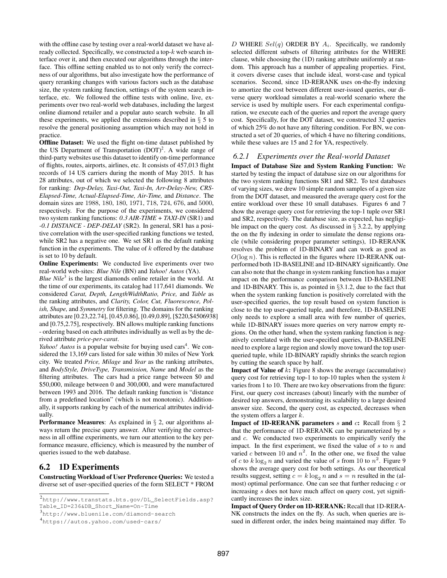with the offline case by testing over a real-world dataset we have already collected. Specifically, we constructed a top- $k$  web search interface over it, and then executed our algorithms through the interface. This offline setting enabled us to not only verify the correctness of our algorithms, but also investigate how the performance of query reranking changes with various factors such as the database size, the system ranking function, settings of the system search interface, etc. We followed the offline tests with online, live, experiments over two real-world web databases, including the largest online diamond retailer and a popular auto search website. In all these experiments, we applied the extensions described in § 5 to resolve the general positioning assumption which may not hold in practice.

Offline Dataset: We used the flight on-time dataset published by the US Department of Transportation  $(DOT)^2$ . A wide range of third-party websites use this dataset to identify on-time performance of flights, routes, airports, airlines, etc. It consists of 457,013 flight records of 14 US carriers during the month of May 2015. It has 28 attributes, out of which we selected the following 8 attributes for ranking: *Dep-Delay, Taxi-Out, Taxi-In, Arr-Delay-New, CRS-Elapsed-Time, Actual-Elapsed-Time, Air-Time,* and *Distance*. The domain sizes are 1988, 180, 180, 1971, 718, 724, 676, and 5000, respectively. For the purpose of the experiments, we considered two system ranking functions: *0.3 AIR-TIME + TAXI-IN* (SR1) and *-0.1 DISTANCE - DEP-DELAY* (SR2). In general, SR1 has a positive correlation with the user-specified ranking functions we tested, while SR2 has a negative one. We set SR1 as the default ranking function in the experiments. The value of  $k$  offered by the database is set to 10 by default.

Online Experiments: We conducted live experiments over two real-world web-sites: *Blue Nile* (BN) and *Yahoo! Autos* (YA).

Blue Nile<sup>3</sup> is the largest diamonds online retailer in the world. At the time of our experiments, its catalog had 117,641 diamonds. We considered *Carat, Depth, LengthWidthRatio, Price,* and *Table* as the ranking attributes, and *Clarity, Color, Cut, Fluorescence, Polish, Shape,* and *Symmetry* for filtering. The domains for the ranking attributes are [0.23,22.74], [0.45,0.86], [0.49,0.89], [\$220,\$4506938] and [0.75,2.75], respectively. BN allows multiple ranking functions - ordering based on each attributes individually as well as by the derived attribute *price-per-carat*.

*Yahoo! Autos* is a popular website for buying used cars<sup>4</sup>. We considered the 13,169 cars listed for sale within 30 miles of New York city. We treated *Price, Milage* and *Year* as the ranking attributes, and *BodyStyle, DriveType, Transmission, Name* and *Model* as the filtering attributes. The cars had a price range between \$0 and \$50,000, mileage between 0 and 300,000, and were manufactured between 1993 and 2016. The default ranking function is "distance from a predefined location" (which is not monotonic). Additionally, it supports ranking by each of the numerical attributes individually.

Performance Measures: As explained in § 2, our algorithms always return the precise query answer. After verifying the correctness in all offline experiments, we turn our attention to the key performance measure, efficiency, which is measured by the number of queries issued to the web database.

# 6.2 1D Experiments

Constructing Workload of User Preference Queries: We tested a diverse set of user-specified queries of the form SELECT \* FROM

D WHERE  $Sel(q)$  ORDER BY  $A_i$ . Specifically, we randomly selected different subsets of filtering attributes for the WHERE clause, while choosing the (1D) ranking attribute uniformly at random. This approach has a number of appealing properties. First, it covers diverse cases that include ideal, worst-case and typical scenarios. Second, since 1D-RERANK uses on-the-fly indexing to amortize the cost between different user-issued queries, our diverse query workload simulates a real-world scenario where the service is used by multiple users. For each experimental configuration, we execute each of the queries and report the average query cost. Specifically, for the DOT dataset, we constructed 32 queries of which 25% do not have any filtering condition. For BN, we constructed a set of 20 queries, of which 4 have no filtering conditions, while these values are 15 and 2 for YA, respectively.

# *6.2.1 Experiments over the Real-world Dataset*

Impact of Database Size and System Ranking Function: We started by testing the impact of database size on our algorithms for the two system ranking functions SR1 and SR2. To test databases of varying sizes, we drew 10 simple random samples of a given size from the DOT dataset, and measured the average query cost for the entire workload over these 10 small databases. Figures 6 and 7 show the average query cost for retrieving the top-1 tuple over SR1 and SR2, respectively. The database size, as expected, has negligible impact on the query cost. As discussed in  $\S$  3.2.2, by applying the on the fly indexing in order to simulate the dense regions oracle (while considering proper parameter settings), 1D-RERANK resolves the problem of 1D-BINARY and can work as good as  $O(\log n)$ . This is reflected in the figures where 1D-RERANK outperformed both 1D-BASELINE and 1D-BINARY significantly. One can also note that the change in system ranking function has a major impact on the performance comparison between 1D-BASELINE and 1D-BINARY. This is, as pointed in §3.1.2, due to the fact that when the system ranking function is positively correlated with the user-specified queries, the top result based on system function is close to the top user-queried tuple, and therefore, 1D-BASELINE only needs to explore a small area with few number of queries, while 1D-BINARY issues more queries on very narrow empty regions. On the other hand, when the system ranking function is negatively correlated with the user-specified queries, 1D-BASELINE need to explore a large region and slowly move toward the top userqueried tuple, while 1D-BINARY rapidly shrinks the search region by cutting the search space by half.

**Impact of Value of**  $k$ **:** Figure 8 shows the average (accumulative) query cost for retrieving top-1 to top-10 tuples when the system  $k$ varies from 1 to 10. There are two key observations from the figure: First, our query cost increases (about) linearly with the number of desired top answers, demonstrating its scalability to a large desired answer size. Second, the query cost, as expected, decreases when the system offers a larger  $k$ .

**Impact of 1D-RERANK parameters s and c:** Recall from  $\S$  2 that the performance of 1D-RERANK can be parameterized by s and c. We conducted two experiments to empirically verify the impact. In the first experiment, we fixed the value of  $s$  to  $n$  and varied c between 10 and  $n^2$ . In the other one, we fixed the value of c to  $k \log_2 n$  and varied the value of s from 10 to  $n^2$ . Figure 9 shows the average query cost for both settings. As our theoretical results suggest, setting  $c = k \log_2 n$  and  $s = n$  resulted in the (almost) optimal performance. One can see that further reducing  $c$  or increasing s does not have much affect on query cost, yet significantly increases the index size.

Impact of Query Order on 1D-RERANK: Recall that 1D-RERA-NK constructs the index on the fly. As such, when queries are issued in different order, the index being maintained may differ. To

<sup>2</sup> http://www.transtats.bts.gov/DL\_SelectFields.asp? Table\_ID=236&DB\_Short\_Name=On-Time

<sup>3</sup> http://www.bluenile.com/diamond-search

<sup>4</sup> https://autos.yahoo.com/used-cars/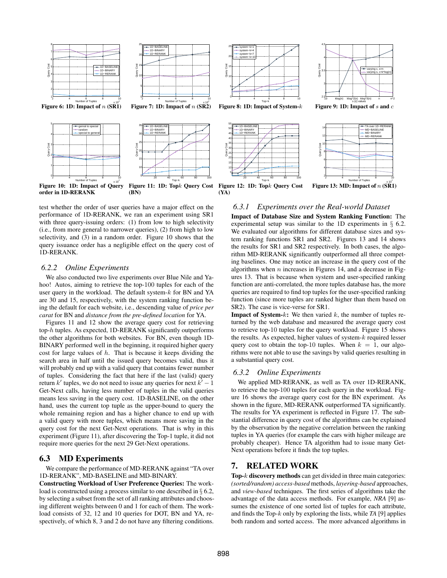



Figure 9: 1D: Impact of  $s$  and  $c$ 



Figure 11: 1D: Topk Query Cost Figure 12: 1D: Topk Query Cost (YA)

#### *6.3.1 Experiments over the Real-world Dataset*

test whether the order of user queries have a major effect on the performance of 1D-RERANK, we ran an experiment using SR1 with three query-issuing orders: (1) from low to high selectivity (i.e., from more general to narrower queries), (2) from high to low selectivity, and (3) in a random order. Figure 10 shows that the query issuance order has a negligible effect on the query cost of 1D-RERANK.

(BN)

#### *6.2.2 Online Experiments*

order in 1D-RERANK

We also conducted two live experiments over Blue Nile and Yahoo! Autos, aiming to retrieve the top-100 tuples for each of the user query in the workload. The default system-k for BN and YA are 30 and 15, respectively, with the system ranking function being the default for each website, i.e., descending value of *price per carat* for BN and *distance from the pre-defined location* for YA.

Figures 11 and 12 show the average query cost for retrieving top-h tuples. As expected, 1D-RERANK significantly outperforms the other algorithms for both websites. For BN, even though 1D-BINARY performed well in the beginning, it required higher query cost for large values of  $h$ . That is because it keeps dividing the search area in half until the issued query becomes valid, thus it will probably end up with a valid query that contains fewer number of tuples. Considering the fact that here if the last (valid) query return k' tuples, we do not need to issue any queries for next  $k' - 1$ Get-Next calls, having less number of tuples in the valid queries means less saving in the query cost. 1D-BASELINE, on the other hand, uses the current top tuple as the upper-bound to query the whole remaining region and has a higher chance to end up with a valid query with more tuples, which means more saving in the query cost for the next Get-Next operations. That is why in this experiment (Figure 11), after discovering the Top-1 tuple, it did not require more queries for the next 29 Get-Next operations.

## 6.3 MD Experiments

We compare the performance of MD-RERANK against "TA over 1D-RERANK", MD-BASELINE and MD-BINARY.

Constructing Workload of User Preference Queries: The workload is constructed using a process similar to one described in § 6.2, by selecting a subset from the set of all ranking attributes and choosing different weights between 0 and 1 for each of them. The workload consists of 32, 12 and 10 queries for DOT, BN and YA, respectively, of which 8, 3 and 2 do not have any filtering conditions.

Impact of Database Size and System Ranking Function: The experimental setup was similar to the 1D experiments in § 6.2. We evaluated our algorithms for different database sizes and system ranking functions SR1 and SR2. Figures 13 and 14 shows the results for SR1 and SR2 respectively. In both cases, the algorithm MD-RERANK significantly outperformed all three competing baselines. One may notice an increase in the query cost of the algorithms when  $n$  increases in Figures 14, and a decrease in Figures 13. That is because when system and user-specified ranking function are anti-correlated, the more tuples database has, the more queries are required to find top tuples for the user-specified ranking function (since more tuples are ranked higher than them based on SR2). The case is vice-verse for SR1.

**Impact of System-k:** We then varied k, the number of tuples returned by the web database and measured the average query cost to retrieve top-10 tuples for the query workload. Figure 15 shows the results. As expected, higher values of system- $k$  required lesser query cost to obtain the top-10 tuples. When  $k = 1$ , our algorithms were not able to use the savings by valid queries resulting in a substantial query cost.

## *6.3.2 Online Experiments*

We applied MD-RERANK, as well as TA over 1D-RERANK, to retrieve the top-100 tuples for each query in the workload. Figure 16 shows the average query cost for the BN experiment. As shown in the figure, MD-RERANK outperformed TA significantly. The results for YA experiment is reflected in Figure 17. The substantial difference in query cost of the algorithms can be explained by the observation by the negative correlation between the ranking tuples in YA queries (for example the cars with higher mileage are probably cheaper). Hence TA algorithm had to issue many Get-Next operations before it finds the top tuples.

## 7. RELATED WORK

**Top-** $k$  **discovery methods** can get divided in three main categories: *(sorted/random) access-based* methods, *layering-based* approaches, and *view-based* techniques. The first series of algorithms take the advantage of the data access methods. For example, *NRA* [9] assumes the existence of one sorted list of tuples for each attribute, and finds the Top-k only by exploring the lists, while *TA* [9] applies both random and sorted access. The more advanced algorithms in